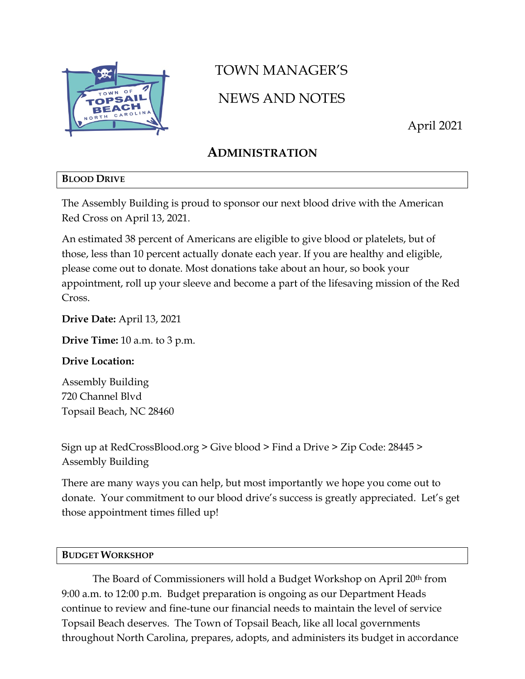

# TOWN MANAGER'S

# NEWS AND NOTES

April 2021

# **ADMINISTRATION**

### **BLOOD DRIVE**

The Assembly Building is proud to sponsor our next blood drive with the American Red Cross on April 13, 2021.

An estimated 38 percent of Americans are eligible to give blood or platelets, but of those, less than 10 percent actually donate each year. If you are healthy and eligible, please come out to donate. Most donations take about an hour, so book your appointment, roll up your sleeve and become a part of the lifesaving mission of the Red Cross.

**Drive Date:** April 13, 2021

**Drive Time:** 10 a.m. to 3 p.m.

### **Drive Location:**

Assembly Building 720 Channel Blvd Topsail Beach, NC 28460

Sign up at RedCrossBlood.org > Give blood > Find a Drive > Zip Code: 28445 > Assembly Building

There are many ways you can help, but most importantly we hope you come out to donate. Your commitment to our blood drive's success is greatly appreciated. Let's get those appointment times filled up!

### **BUDGET WORKSHOP**

The Board of Commissioners will hold a Budget Workshop on April 20<sup>th</sup> from 9:00 a.m. to 12:00 p.m. Budget preparation is ongoing as our Department Heads continue to review and fine-tune our financial needs to maintain the level of service Topsail Beach deserves. The Town of Topsail Beach, like all local governments throughout North Carolina, prepares, adopts, and administers its budget in accordance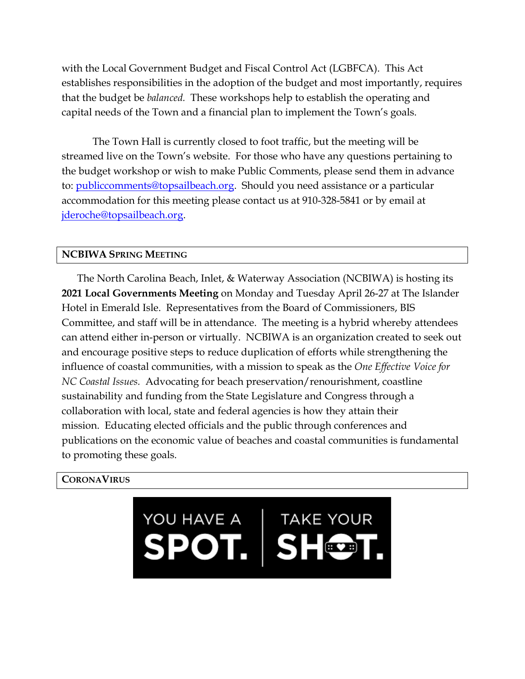with the Local Government Budget and Fiscal Control Act (LGBFCA). This Act establishes responsibilities in the adoption of the budget and most importantly, requires that the budget be *balanced.* These workshops help to establish the operating and capital needs of the Town and a financial plan to implement the Town's goals.

The Town Hall is currently closed to foot traffic, but the meeting will be streamed live on the Town's website. For those who have any questions pertaining to the budget workshop or wish to make Public Comments, please send them in advance to: [publiccomments@topsailbeach.org.](mailto:publiccomments@topsailbeach.org) Should you need assistance or a particular accommodation for this meeting please contact us at 910-328-5841 or by email at [jderoche@topsailbeach.org.](mailto:jderoche@topsailbeach.org)

#### **NCBIWA SPRING MEETING**

The North Carolina Beach, Inlet, & Waterway Association (NCBIWA) is hosting its **2021 Local Governments Meeting** on Monday and Tuesday April 26-27 at The Islander Hotel in Emerald Isle. Representatives from the Board of Commissioners, BIS Committee, and staff will be in attendance. The meeting is a hybrid whereby attendees can attend either in-person or virtually. NCBIWA is an organization created to seek out and encourage positive steps to reduce duplication of efforts while strengthening the influence of coastal communities, with a mission to speak as the *One Effective Voice for NC Coastal Issues.* Advocating for beach preservation/renourishment, coastline sustainability and funding from the State Legislature and Congress through a collaboration with local, state and federal agencies is how they attain their mission. Educating elected officials and the public through conferences and publications on the economic value of beaches and coastal communities is fundamental to promoting these goals.

#### **CORONAVIRUS**

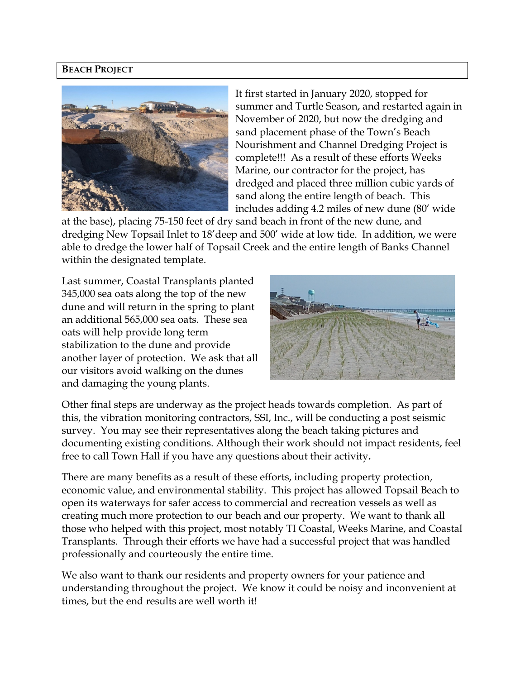#### **BEACH PROJECT**



It first started in January 2020, stopped for summer and Turtle Season, and restarted again in November of 2020, but now the dredging and sand placement phase of the Town's Beach Nourishment and Channel Dredging Project is complete!!! As a result of these efforts Weeks Marine, our contractor for the project, has dredged and placed three million cubic yards of sand along the entire length of beach. This includes adding 4.2 miles of new dune (80' wide

at the base), placing 75-150 feet of dry sand beach in front of the new dune, and dredging New Topsail Inlet to 18'deep and 500' wide at low tide. In addition, we were able to dredge the lower half of Topsail Creek and the entire length of Banks Channel within the designated template.

Last summer, Coastal Transplants planted 345,000 sea oats along the top of the new dune and will return in the spring to plant an additional 565,000 sea oats. These sea oats will help provide long term stabilization to the dune and provide another layer of protection. We ask that all our visitors avoid walking on the dunes and damaging the young plants.



Other final steps are underway as the project heads towards completion. As part of this, the vibration monitoring contractors, SSI, Inc., will be conducting a post seismic survey. You may see their representatives along the beach taking pictures and documenting existing conditions. Although their work should not impact residents, feel free to call Town Hall if you have any questions about their activity**.**

There are many benefits as a result of these efforts, including property protection, economic value, and environmental stability. This project has allowed Topsail Beach to open its waterways for safer access to commercial and recreation vessels as well as creating much more protection to our beach and our property. We want to thank all those who helped with this project, most notably TI Coastal, Weeks Marine, and Coastal Transplants. Through their efforts we have had a successful project that was handled professionally and courteously the entire time.

We also want to thank our residents and property owners for your patience and understanding throughout the project. We know it could be noisy and inconvenient at times, but the end results are well worth it!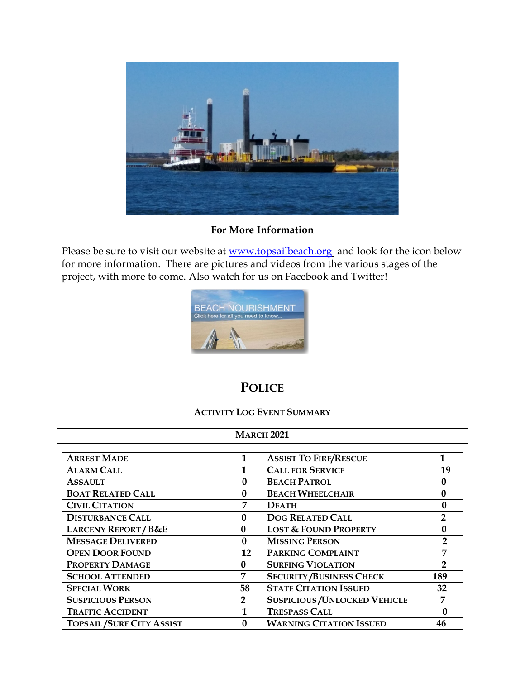

#### **For More Information**

Please be sure to visit our website at [www.topsailbeach.org](http://www.topsailbeach.org/) and look for the icon below for more information. There are pictures and videos from the various stages of the project, with more to come. Also watch for us on Facebook and Twitter!



## **POLICE**

#### **ACTIVITY LOG EVENT SUMMARY**

| <b>MARCH 2021</b>               |                |                                           |                |  |  |
|---------------------------------|----------------|-------------------------------------------|----------------|--|--|
| <b>ARREST MADE</b>              |                | <b>ASSIST TO FIRE/RESCUE</b>              | 1              |  |  |
| <b>ALARM CALL</b>               |                | <b>CALL FOR SERVICE</b>                   | 19             |  |  |
| <b>ASSAULT</b>                  | $\mathbf{0}$   | <b>BEACH PATROL</b>                       | $\mathbf{0}$   |  |  |
| <b>BOAT RELATED CALL</b>        | $\mathbf{0}$   | <b>BEACH WHEELCHAIR</b>                   | $\mathbf{0}$   |  |  |
| <b>CIVIL CITATION</b>           | 7              | <b>DEATH</b>                              | $\mathbf{0}$   |  |  |
| <b>DISTURBANCE CALL</b>         | 0              | <b>DOG RELATED CALL</b>                   | $\overline{2}$ |  |  |
| <b>LARCENY REPORT/B&amp;E</b>   | $\mathbf{0}$   | <b>LOST &amp; FOUND PROPERTY</b>          | $\bf{0}$       |  |  |
| <b>MESSAGE DELIVERED</b>        | $\mathbf{0}$   | <b>MISSING PERSON</b>                     |                |  |  |
| <b>OPEN DOOR FOUND</b>          | 12             | PARKING COMPLAINT                         | 7              |  |  |
| PROPERTY DAMAGE                 | 0              | <b>SURFING VIOLATION</b>                  | $\overline{2}$ |  |  |
| <b>SCHOOL ATTENDED</b>          | 7              | <b>SECURITY/BUSINESS CHECK</b>            | 189            |  |  |
| <b>SPECIAL WORK</b>             | 58             | <b>STATE CITATION ISSUED</b>              |                |  |  |
| <b>SUSPICIOUS PERSON</b>        | $\overline{2}$ | 7<br><b>SUSPICIOUS / UNLOCKED VEHICLE</b> |                |  |  |
| <b>TRAFFIC ACCIDENT</b>         |                | <b>TRESPASS CALL</b><br>0                 |                |  |  |
| <b>TOPSAIL/SURF CITY ASSIST</b> |                | <b>WARNING CITATION ISSUED</b>            | 46             |  |  |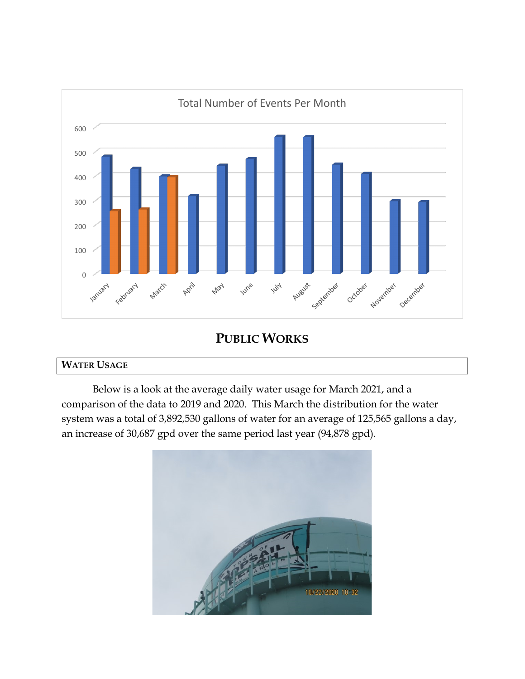

**PUBLIC WORKS**

## **WATER USAGE**

Below is a look at the average daily water usage for March 2021, and a comparison of the data to 2019 and 2020. This March the distribution for the water system was a total of 3,892,530 gallons of water for an average of 125,565 gallons a day, an increase of 30,687 gpd over the same period last year (94,878 gpd).

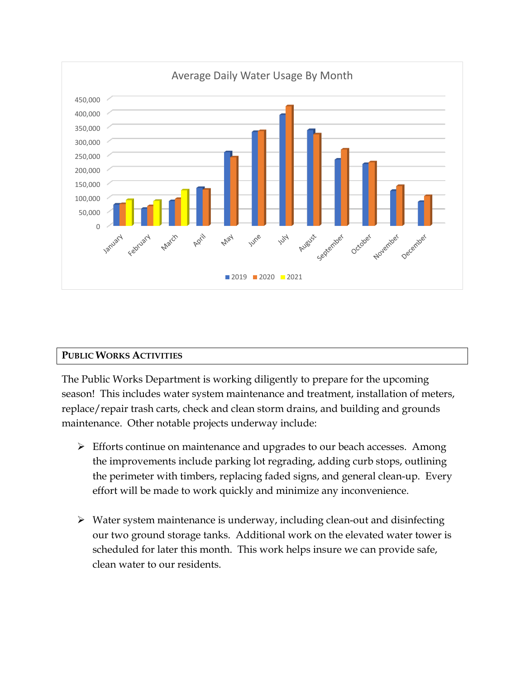

#### **PUBLIC WORKS ACTIVITIES**

The Public Works Department is working diligently to prepare for the upcoming season! This includes water system maintenance and treatment, installation of meters, replace/repair trash carts, check and clean storm drains, and building and grounds maintenance. Other notable projects underway include:

- $\triangleright$  Efforts continue on maintenance and upgrades to our beach accesses. Among the improvements include parking lot regrading, adding curb stops, outlining the perimeter with timbers, replacing faded signs, and general clean-up. Every effort will be made to work quickly and minimize any inconvenience.
- $\triangleright$  Water system maintenance is underway, including clean-out and disinfecting our two ground storage tanks. Additional work on the elevated water tower is scheduled for later this month. This work helps insure we can provide safe, clean water to our residents.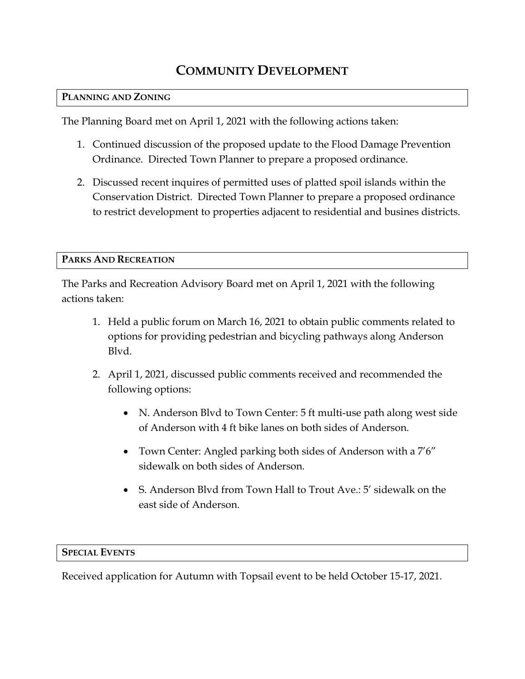# **COMMUNITY DEVELOPMENT**

#### **PLANNING AND ZONING**

The Planning Board met on April 1, 2021 with the following actions taken:

- 1. Continued discussion of the proposed update to the Flood Damage Prevention Ordinance. Directed Town Planner to prepare a proposed ordinance.
- 2. Discussed recent inquires of permitted uses of platted spoil islands within the Conservation District. Directed Town Planner to prepare a proposed ordinance to restrict development to properties adjacent to residential and busines districts.

#### **PARKS AND RECREATION**

The Parks and Recreation Advisory Board met on April 1, 2021 with the following actions taken:

- 1. Held a public forum on March 16, 2021 to obtain public comments related to options for providing pedestrian and bicycling pathways along Anderson Blvd.
- 2. April 1, 2021, discussed public comments received and recommended the following options:
	- N. Anderson Blvd to Town Center: 5 ft multi-use path along west side of Anderson with 4 ft bike lanes on both sides of Anderson.
	- Town Center: Angled parking both sides of Anderson with a 7'6" sidewalk on both sides of Anderson.
	- S. Anderson Blvd from Town Hall to Trout Ave.: 5' sidewalk on the east side of Anderson.

#### **SPECIAL EVENTS**

Received application for Autumn with Topsail event to be held October 15-17, 2021.